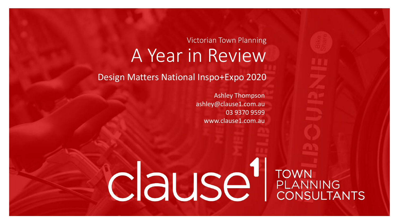### Victorian Town Planning A Year in Review

Design Matters National Inspo+Expo 2020

Ashley Thompson ashley@clause1.com.au 03 9370 9599 www.clause1.com.au

CIause EANNING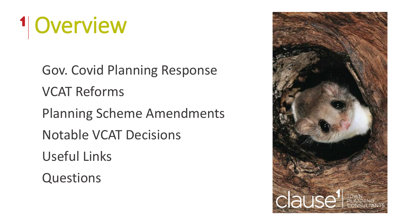# <sup>1</sup> Overview

Gov. Covid Planning Response VCAT Reforms Planning Scheme Amendments Notable VCAT Decisions Useful Links **Questions** 

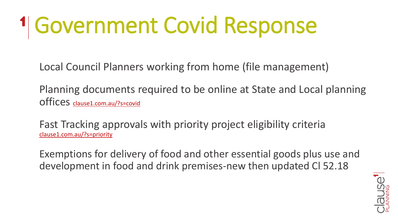# Government Covid Response

Local Council Planners working from home (file management)

Planning documents required to be online at State and Local planning offices [clause1.com.au/?s=covid](https://clause1.com.au/?s=covid)

Fast Tracking approvals with priority project eligibility criteria [clause1.com.au/?s=priority](https://clause1.com.au/?s=priority)

Exemptions for delivery of food and other essential goods plus use and development in food and drink premises-new then updated Cl 52.18

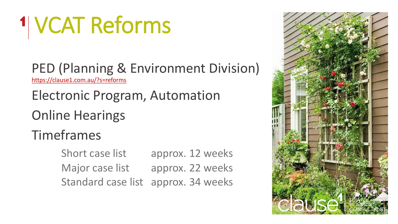# VCAT Reforms

PED (Planning & Environment Division) <https://clause1.com.au/?s=reforms>

### Electronic Program, Automation

### Online Hearings

### Timeframes

Short case list approx. 12 weeks Major case list approx. 22 weeks Standard case list approx. 34 weeks

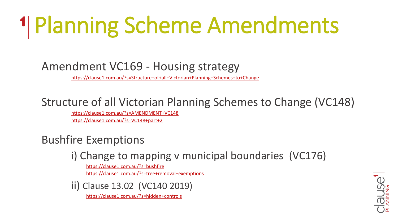# Planning Scheme Amendments

#### Amendment VC169 - Housing strategy

<https://clause1.com.au/?s=Structure+of+all+Victorian+Planning+Schemes+to+Change>

#### Structure of all Victorian Planning Schemes to Change (VC148)

<https://clause1.com.au/?s=AMENDMENT+VC148> <https://clause1.com.au/?s=VC148+part+2>

#### Bushfire Exemptions

#### i) Change to mapping v municipal boundaries (VC176)

<https://clause1.com.au/?s=bushfire> <https://clause1.com.au/?s=tree+removal+exemptions>

ii) Clause 13.02 (VC140 2019)

<https://clause1.com.au/?s=hidden+controls>

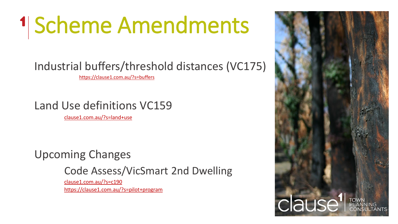# 1 Scheme Amendments

### Industrial buffers/threshold distances (VC175)

https://clause1.com.au/?s=buffers

#### Land Use definitions VC159

[clause1.com.au/?s=land+use](https://clause1.com.au/?s=land+use)

#### Upcoming Changes

Code Assess/VicSmart 2nd Dwelling

[clause1.com.au/?s=c190](https://clause1.com.au/?s=c190) https://clause1.com.au/?s=pilot+program

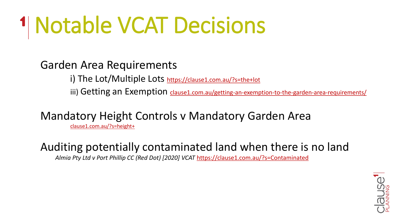# Notable VCAT Decisions

#### Garden Area Requirements

i) The Lot/Multiple Lots <https://clause1.com.au/?s=the+lot>

iii) Getting an Exemption [clause1.com.au/getting-an-exemption-to-the-garden-area-requirements/](https://clause1.com.au/getting-an-exemption-to-the-garden-area-requirements/)

#### Mandatory Height Controls v Mandatory Garden Area

clause1.com.au/?s=height+

### Auditing potentially contaminated land when there is no land

*Almia Pty Ltd v Port Phillip CC (Red Dot) [2020] VCAT* <https://clause1.com.au/?s=Contaminated>

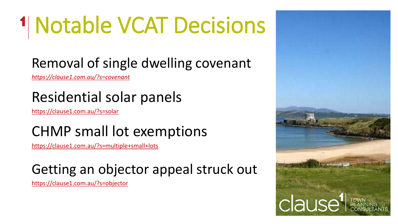# Notable VCAT Decisions

# Removal of single dwelling covenant

*<https://clause1.com.au/?s=covenant>*

# Residential solar panels

<https://clause1.com.au/?s=solar>

### CHMP small lot exemptions

<https://clause1.com.au/?s=multiple+small+lots>

### Getting an objector appeal struck out

<https://clause1.com.au/?s=objector>

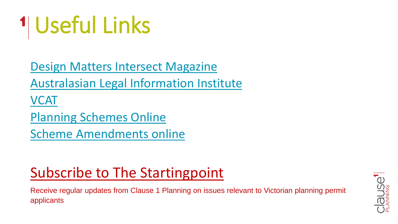

[Design Matters Intersect Magazine](https://www.designmatters.org.au/Web/Resources/Magazines/Web/Resources/Magazines.aspx?hkey=242703cc-9dae-487b-a3c7-79f3671dd0e4)

[Australasian Legal Information Institute](http://www.austlii.edu.au/)

[VCAT](https://www.vcat.vic.gov.au/)

[Planning Schemes Online](http://www.planning.vic.gov.au/schemes-and-amendments/browse-planning-schemes)

[Scheme Amendments online](https://www.planning.vic.gov.au/schemes-and-amendments/about-planning-schemes)

# [Subscribe to The Startingpoint](https://us14.list-manage.com/subscribe?u=8783b11c9e4a3c2fece4c3133&id=b4b3f3ce60)

Receive regular updates from Clause 1 Planning on issues relevant to Victorian planning permit applicants